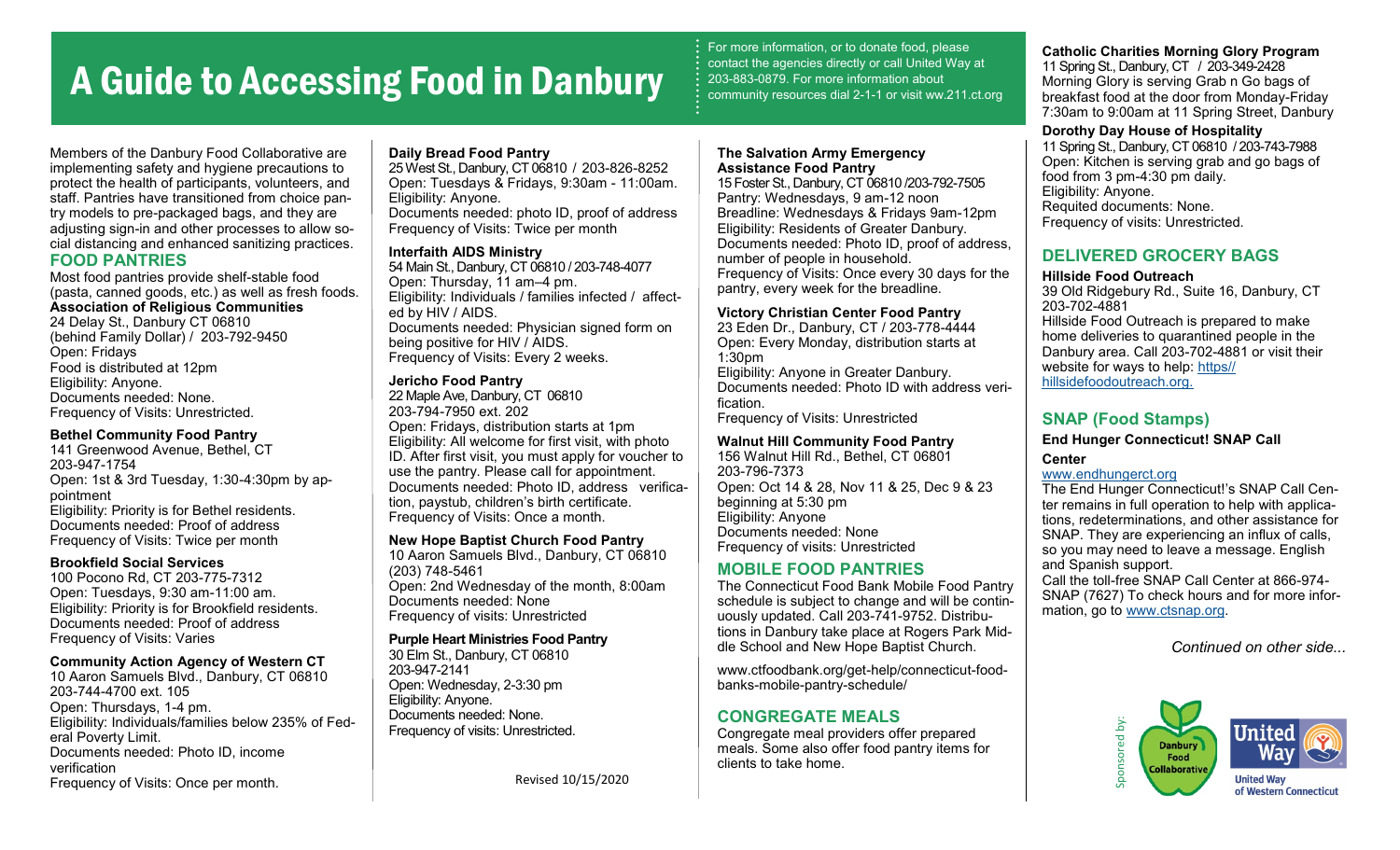# A Guide to Accessing Food in Danbury

For more information, or to donate food, please contact the agencies directly or call United Way at 203-883-0879. For more information about community resources dial 2-1-1 or visit ww.211.ct.org

**The Salvation Army Emergency** 

Members of the Danbury Food Collaborative are implementing safety and hygiene precautions to protect the health of participants, volunteers, and staff. Pantries have transitioned from choice pantry models to pre-packaged bags, and they are adjusting sign-in and other processes to allow social distancing and enhanced sanitizing practices. **FOOD PANTRIES**

Most food pantries provide shelf-stable food (pasta, canned goods, etc.) as well as fresh foods. **Association of Religious Communities** 24 Delay St., Danbury CT 06810 (behind Family Dollar) / 203-792-9450 Open: Fridays Food is distributed at 12pm Eligibility: Anyone. Documents needed: None. Frequency of Visits: Unrestricted.

### **Bethel Community Food Pantry**

141 Greenwood Avenue, Bethel, CT 203-947-1754 Open: 1st & 3rd Tuesday, 1:30-4:30pm by appointment Eligibility: Priority is for Bethel residents. Documents needed: Proof of address Frequency of Visits: Twice per month

### **Brookfield Social Services**

100 Pocono Rd, CT 203-775-7312 Open: Tuesdays, 9:30 am-11:00 am. Eligibility: Priority is for Brookfield residents. Documents needed: Proof of address Frequency of Visits: Varies

### **Community Action Agency of Western CT**

10 Aaron Samuels Blvd., Danbury, CT 06810 203-744-4700 ext. 105 Open: Thursdays, 1-4 pm. Eligibility: Individuals/families below 235% of Federal Poverty Limit. Documents needed: Photo ID, income verification Frequency of Visits: Once per month.

#### **Daily Bread Food Pantry**

25 West St., Danbury, CT 06810 / 203-826-8252 Open: Tuesdays & Fridays, 9:30am - 11:00am. Eligibility: Anyone. Documents needed: photo ID, proof of address Frequency of Visits: Twice per month

#### **Interfaith AIDS Ministry**

54 Main St., Danbury, CT 06810 / 203-748-4077 Open: Thursday, 11 am–4 pm. Eligibility: Individuals / families infected / affected by HIV / AIDS. Documents needed: Physician signed form on being positive for HIV / AIDS. Frequency of Visits: Every 2 weeks.

### **Jericho Food Pantry**

22 Maple Ave, Danbury, CT 06810 203-794-7950 ext. 202 Open: Fridays, distribution starts at 1pm Eligibility: All welcome for first visit, with photo ID. After first visit, you must apply for voucher to use the pantry. Please call for appointment. Documents needed: Photo ID, address verification, paystub, children's birth certificate. Frequency of Visits: Once a month.

#### **New Hope Baptist Church Food Pantry**

10 Aaron Samuels Blvd., Danbury, CT 06810 (203) 748-5461 Open: 2nd Wednesday of the month, 8:00am Documents needed: None Frequency of visits: Unrestricted

# **Purple Heart Ministries Food Pantry**

30 Elm St., Danbury, CT 06810 203-947-2141 Open: Wednesday, 2-3:30 pm Eligibility: Anyone. Documents needed: None. Frequency of visits: Unrestricted.

Revised 10/15/2020

# **Assistance Food Pantry**

15 Foster St., Danbury, CT 06810 /203-792-7505 Pantry: Wednesdays, 9 am-12 noon Breadline: Wednesdays & Fridays 9am-12pm Eligibility: Residents of Greater Danbury. Documents needed: Photo ID, proof of address, number of people in household. Frequency of Visits: Once every 30 days for the pantry, every week for the breadline.

#### **Victory Christian Center Food Pantry**

23 Eden Dr., Danbury, CT / 203-778-4444 Open: Every Monday, distribution starts at 1:30pm Eligibility: Anyone in Greater Danbury. Documents needed: Photo ID with address verification.

Frequency of Visits: Unrestricted

# **Walnut Hill Community Food Pantry**

156 Walnut Hill Rd., Bethel, CT 06801 203-796-7373 Open: Oct 14 & 28, Nov 11 & 25, Dec 9 & 23 beginning at 5:30 pm Eligibility: Anyone Documents needed: None Frequency of visits: Unrestricted

# **MOBILE FOOD PANTRIES**

The Connecticut Food Bank Mobile Food Pantry schedule is subject to change and will be continuously updated. Call 203-741-9752. Distributions in Danbury take place at Rogers Park Middle School and New Hope Baptist Church.

www.ctfoodbank.org/get-help/connecticut-foodbanks-mobile-pantry-schedule/

# **CONGREGATE MEALS**

Congregate meal providers offer prepared meals. Some also offer food pantry items for clients to take home.

**Catholic Charities Morning Glory Program** 11 Spring St., Danbury, CT / 203-349-2428 Morning Glory is serving Grab n Go bags of breakfast food at the door from Monday-Friday 7:30am to 9:00am at 11 Spring Street, Danbury

#### **Dorothy Day House of Hospitality**

11 Spring St., Danbury, CT 06810 / 203-743-7988 Open: Kitchen is serving grab and go bags of food from 3 pm-4:30 pm daily. Eligibility: Anyone. Requited documents: None. Frequency of visits: Unrestricted.

# **DELIVERED GROCERY BAGS**

#### **Hillside Food Outreach**

39 Old Ridgebury Rd., Suite 16, Danbury, CT 203-702-4881 Hillside Food Outreach is prepared to make home deliveries to quarantined people in the Danbury area. Call 203-702-4881 or visit their website for ways to help: [https//](https://hillsidefoodoutreach.org/) [hillsidefoodoutreach.org.](https://hillsidefoodoutreach.org/)

# **SNAP (Food Stamps)**

**End Hunger Connecticut! SNAP Call** 

# **Center**

[www.endhungerct.org](https://www.endhungerct.org/)

The End Hunger Connecticut!'s SNAP Call Center remains in full operation to help with applications, redeterminations, and other assistance for SNAP. They are experiencing an influx of calls, so you may need to leave a message. English and Spanish support. Call the toll-free SNAP Call Center at 866-974- SNAP (7627) To check hours and for more information, go to [www.ctsnap.org.](http://ctsnap.org/)

*Continued on other side...*